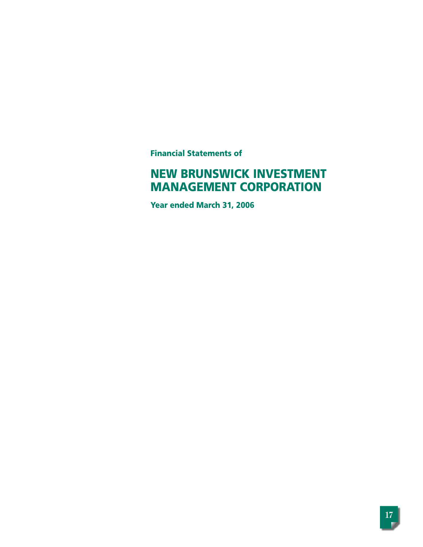**Financial Statements of**

# **NEW BRUNSWICK INVESTMENT MANAGEMENT CORPORATION**

**Year ended March 31, 2006**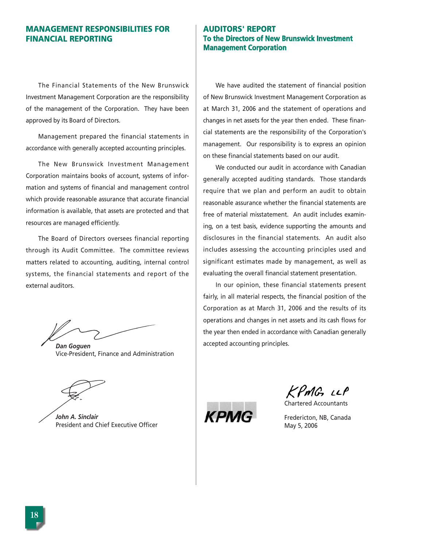# **MANAGEMENT RESPONSIBILITIES FOR FINANCIAL REPORTING**

The Financial Statements of the New Brunswick Investment Management Corporation are the responsibility of the management of the Corporation. They have been approved by its Board of Directors.

Management prepared the financial statements in accordance with generally accepted accounting principles.

The New Brunswick Investment Management Corporation maintains books of account, systems of information and systems of financial and management control which provide reasonable assurance that accurate financial information is available, that assets are protected and that resources are managed efficiently.

The Board of Directors oversees financial reporting through its Audit Committee. The committee reviews matters related to accounting, auditing, internal control systems, the financial statements and report of the external auditors.

*Dan Goguen* Vice-President, Finance and Administration

*John A. Sinclair* President and Chief Executive Officer

# **AUDITORS' REPORT To the Directors of New Brunswick Investment Management Corporation**

We have audited the statement of financial position of New Brunswick Investment Management Corporation as at March 31, 2006 and the statement of operations and changes in net assets for the year then ended. These financial statements are the responsibility of the Corporation's management. Our responsibility is to express an opinion on these financial statements based on our audit.

We conducted our audit in accordance with Canadian generally accepted auditing standards. Those standards require that we plan and perform an audit to obtain reasonable assurance whether the financial statements are free of material misstatement. An audit includes examining, on a test basis, evidence supporting the amounts and disclosures in the financial statements. An audit also includes assessing the accounting principles used and significant estimates made by management, as well as evaluating the overall financial statement presentation.

In our opinion, these financial statements present fairly, in all material respects, the financial position of the Corporation as at March 31, 2006 and the results of its operations and changes in net assets and its cash flows for the year then ended in accordance with Canadian generally accepted accounting principles.

KPMG LLP

Chartered Accountants



Fredericton, NB, Canada May 5, 2006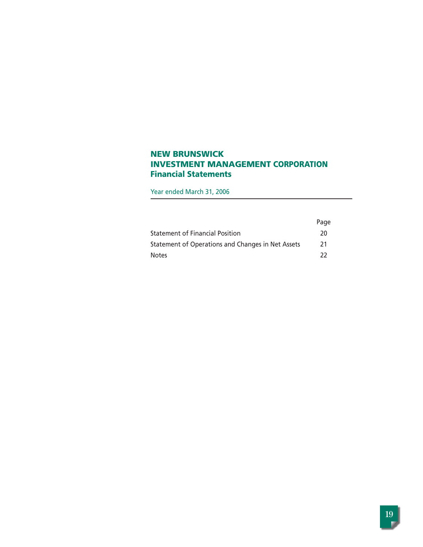# **NEW BRUNSWICK INVESTMENT MANAGEMENT CORPORATION Financial Statements**

Year ended March 31, 2006

|                                                   | Page |
|---------------------------------------------------|------|
| <b>Statement of Financial Position</b>            | 20   |
| Statement of Operations and Changes in Net Assets | 21   |
| <b>Notes</b>                                      | -22  |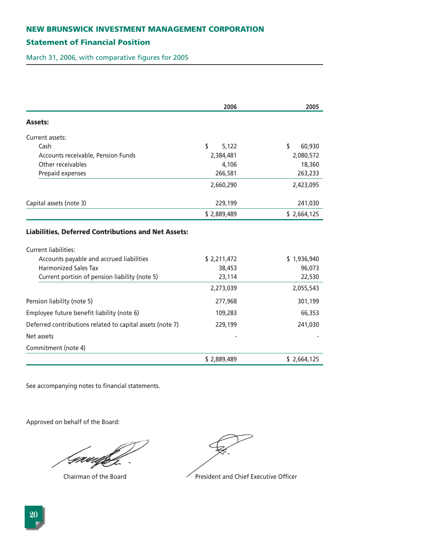# **Statement of Financial Position**

March 31, 2006, with comparative figures for 2005

|                                                           | 2006        | 2005         |
|-----------------------------------------------------------|-------------|--------------|
| <b>Assets:</b>                                            |             |              |
| Current assets:                                           |             |              |
| Cash                                                      | \$<br>5,122 | \$<br>60,930 |
| Accounts receivable, Pension Funds                        | 2,384,481   | 2,080,572    |
| Other receivables                                         | 4,106       | 18,360       |
| Prepaid expenses                                          | 266,581     | 263,233      |
|                                                           | 2,660,290   | 2,423,095    |
| Capital assets (note 3)                                   | 229,199     | 241,030      |
|                                                           | \$2,889,489 | \$2,664,125  |
| Current liabilities:                                      |             |              |
|                                                           |             |              |
| Accounts payable and accrued liabilities                  | \$2,211,472 | \$1,936,940  |
| <b>Harmonized Sales Tax</b>                               | 38,453      | 96,073       |
| Current portion of pension liability (note 5)             | 23,114      | 22,530       |
|                                                           | 2,273,039   | 2,055,543    |
| Pension liability (note 5)                                | 277,968     | 301,199      |
| Employee future benefit liability (note 6)                | 109,283     | 66,353       |
| Deferred contributions related to capital assets (note 7) | 229,199     | 241,030      |
| Net assets                                                |             |              |
| Commitment (note 4)                                       |             |              |
|                                                           | \$2,889,489 | \$2,664,125  |

See accompanying notes to financial statements.

Approved on behalf of the Board:

Grædfif



Chairman of the Board **President and Chief Executive Officer**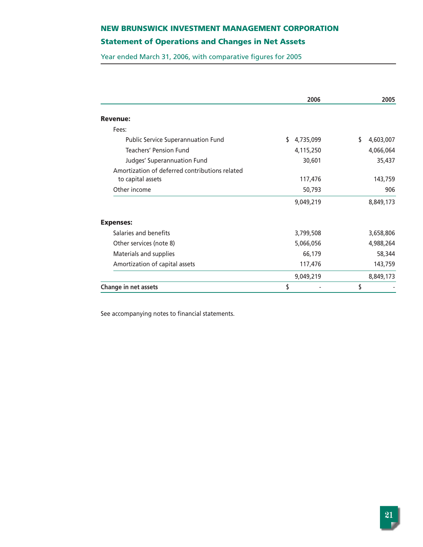# **Statement of Operations and Changes in Net Assets**

Year ended March 31, 2006, with comparative figures for 2005

|                                                | 2006            | 2005            |
|------------------------------------------------|-----------------|-----------------|
| <b>Revenue:</b>                                |                 |                 |
| Fees:                                          |                 |                 |
| <b>Public Service Superannuation Fund</b>      | \$<br>4,735,099 | \$<br>4,603,007 |
| <b>Teachers' Pension Fund</b>                  | 4,115,250       | 4,066,064       |
| Judges' Superannuation Fund                    | 30,601          | 35,437          |
| Amortization of deferred contributions related |                 |                 |
| to capital assets                              | 117,476         | 143,759         |
| Other income                                   | 50,793          | 906             |
|                                                | 9,049,219       | 8,849,173       |
| <b>Expenses:</b>                               |                 |                 |
| Salaries and benefits                          | 3,799,508       | 3,658,806       |
| Other services (note 8)                        | 5,066,056       | 4,988,264       |
| Materials and supplies                         | 66,179          | 58,344          |
| Amortization of capital assets                 | 117,476         | 143,759         |
|                                                | 9,049,219       | 8,849,173       |
| <b>Change in net assets</b>                    | \$              | \$              |

See accompanying notes to financial statements.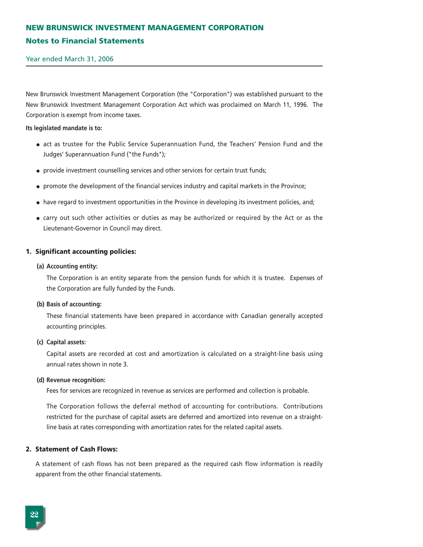# **NEW BRUNSWICK INVESTMENT MANAGEMENT CORPORATION Notes to Financial Statements**

Year ended March 31, 2006

New Brunswick Investment Management Corporation (the "Corporation") was established pursuant to the New Brunswick Investment Management Corporation Act which was proclaimed on March 11, 1996. The Corporation is exempt from income taxes.

#### **Its legislated mandate is to:**

- act as trustee for the Public Service Superannuation Fund, the Teachers' Pension Fund and the Judges' Superannuation Fund ("the Funds");
- provide investment counselling services and other services for certain trust funds;
- promote the development of the financial services industry and capital markets in the Province;
- have regard to investment opportunities in the Province in developing its investment policies, and;
- carry out such other activities or duties as may be authorized or required by the Act or as the Lieutenant-Governor in Council may direct.

#### **1. Significant accounting policies:**

#### **(a) Accounting entity:**

The Corporation is an entity separate from the pension funds for which it is trustee. Expenses of the Corporation are fully funded by the Funds.

#### **(b) Basis of accounting:**

These financial statements have been prepared in accordance with Canadian generally accepted accounting principles.

#### **(c) Capital assets:**

Capital assets are recorded at cost and amortization is calculated on a straight-line basis using annual rates shown in note 3.

#### **(d) Revenue recognition:**

Fees for services are recognized in revenue as services are performed and collection is probable.

The Corporation follows the deferral method of accounting for contributions. Contributions restricted for the purchase of capital assets are deferred and amortized into revenue on a straightline basis at rates corresponding with amortization rates for the related capital assets.

#### **2. Statement of Cash Flows:**

A statement of cash flows has not been prepared as the required cash flow information is readily apparent from the other financial statements.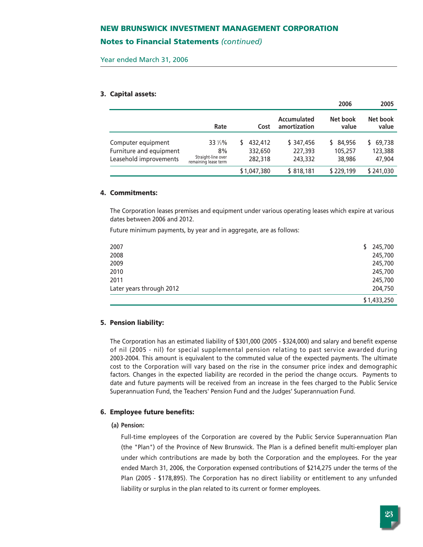### **Notes to Financial Statements** *(continued)*

Year ended March 31, 2006

#### **3. Capital assets:**

|                                                                         |                                                             |   |                               |                                 | 2006                           | 2005                        |
|-------------------------------------------------------------------------|-------------------------------------------------------------|---|-------------------------------|---------------------------------|--------------------------------|-----------------------------|
|                                                                         | Rate                                                        |   | Cost                          | Accumulated<br>amortization     | Net book<br>value              | Net book<br>value           |
| Computer equipment<br>Furniture and equipment<br>Leasehold improvements | 33 1/3%<br>8%<br>Straight-line over<br>remaining lease term | S | 432,412<br>332,650<br>282,318 | \$347,456<br>227,393<br>243,332 | \$ 84,956<br>105,257<br>38,986 | 69,738<br>123,388<br>47,904 |
|                                                                         |                                                             |   | \$1,047,380                   | \$818,181                       | \$229,199                      | \$241,030                   |

#### **4. Commitments:**

The Corporation leases premises and equipment under various operating leases which expire at various dates between 2006 and 2012.

Future minimum payments, by year and in aggregate, are as follows:

| Later years through 2012 | 204,750<br>\$1,433,250 |
|--------------------------|------------------------|
| 2010<br>2011             | 245,700<br>245,700     |
| 2009                     | 245,700                |
| 2008                     | 245,700                |
| 2007                     | 245,700<br>\$          |

### **5. Pension liability:**

The Corporation has an estimated liability of \$301,000 (2005 - \$324,000) and salary and benefit expense of nil (2005 - nil) for special supplemental pension relating to past service awarded during 2003-2004. This amount is equivalent to the commuted value of the expected payments. The ultimate cost to the Corporation will vary based on the rise in the consumer price index and demographic factors. Changes in the expected liability are recorded in the period the change occurs. Payments to date and future payments will be received from an increase in the fees charged to the Public Service Superannuation Fund, the Teachers' Pension Fund and the Judges' Superannuation Fund.

#### **6. Employee future benefits:**

### **(a) Pension:**

Full-time employees of the Corporation are covered by the Public Service Superannuation Plan (the "Plan") of the Province of New Brunswick. The Plan is a defined benefit multi-employer plan under which contributions are made by both the Corporation and the employees. For the year ended March 31, 2006, the Corporation expensed contributions of \$214,275 under the terms of the Plan (2005 - \$178,895). The Corporation has no direct liability or entitlement to any unfunded liability or surplus in the plan related to its current or former employees.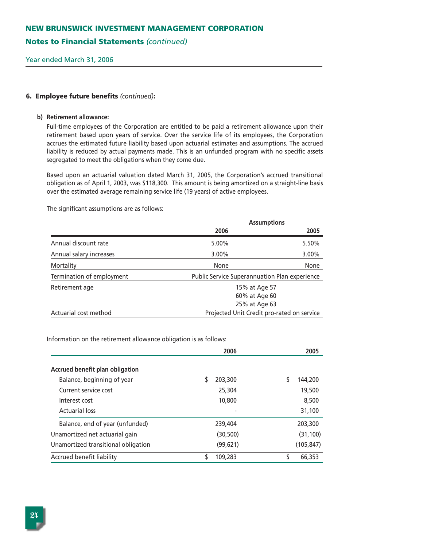## **Notes to Financial Statements** *(continued)*

Year ended March 31, 2006

### **6. Employee future benefits** *(continued)***:**

#### **b) Retirement allowance:**

Full-time employees of the Corporation are entitled to be paid a retirement allowance upon their retirement based upon years of service. Over the service life of its employees, the Corporation accrues the estimated future liability based upon actuarial estimates and assumptions. The accrued liability is reduced by actual payments made. This is an unfunded program with no specific assets segregated to meet the obligations when they come due.

Based upon an actuarial valuation dated March 31, 2005, the Corporation's accrued transitional obligation as of April 1, 2003, was \$118,300. This amount is being amortized on a straight-line basis over the estimated average remaining service life (19 years) of active employees.

The significant assumptions are as follows:

|                           | <b>Assumptions</b>                            |       |
|---------------------------|-----------------------------------------------|-------|
|                           | 2006                                          | 2005  |
| Annual discount rate      | 5.00%                                         | 5.50% |
| Annual salary increases   | $3.00\%$                                      | 3.00% |
| Mortality                 | None                                          | None  |
| Termination of employment | Public Service Superannuation Plan experience |       |
| Retirement age            | 15% at Age 57                                 |       |
|                           | 60% at Age 60                                 |       |
|                           | 25% at Age 63                                 |       |
| Actuarial cost method     | Projected Unit Credit pro-rated on service    |       |

Information on the retirement allowance obligation is as follows:

|                                     | 2006          | 2005       |
|-------------------------------------|---------------|------------|
| Accrued benefit plan obligation     |               |            |
| Balance, beginning of year          | 203,300<br>S  | 144,200    |
| Current service cost                | 25,304        | 19,500     |
| Interest cost                       | 10,800        | 8,500      |
| <b>Actuarial loss</b>               |               | 31,100     |
| Balance, end of year (unfunded)     | 239,404       | 203,300    |
| Unamortized net actuarial gain      | (30, 500)     | (31, 100)  |
| Unamortized transitional obligation | (99, 621)     | (105, 847) |
| Accrued benefit liability           | \$<br>109,283 | 66,353     |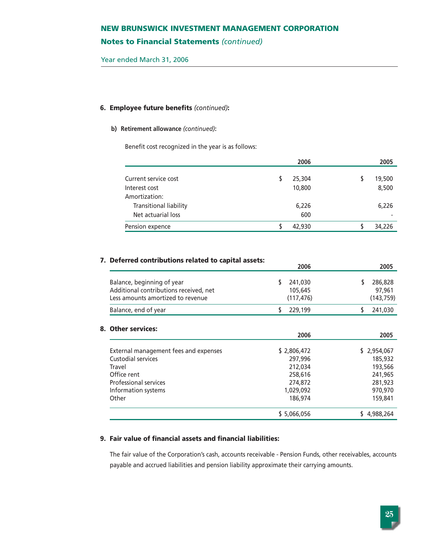# **Notes to Financial Statements** *(continued)*

Year ended March 31, 2006

### **6. Employee future benefits** *(continued)***:**

#### **b) Retirement allowance** *(continued)***:**

Benefit cost recognized in the year is as follows:

|                        | 2006   | 2005   |
|------------------------|--------|--------|
| Current service cost   |        |        |
|                        | 25,304 | 19,500 |
| Interest cost          | 10,800 | 8,500  |
| Amortization:          |        |        |
| Transitional liability | 6,226  | 6,226  |
| Net actuarial loss     | 600    |        |
| Pension expence        | 42,930 | 34,226 |

# **7. Deferred contributions related to capital assets:**

|                                                                                                                                                      | 2006                                                                            | 2005                                                                          |
|------------------------------------------------------------------------------------------------------------------------------------------------------|---------------------------------------------------------------------------------|-------------------------------------------------------------------------------|
| Balance, beginning of year<br>Additional contributions received, net<br>Less amounts amortized to revenue                                            | 241,030<br>105,645<br>(117, 476)                                                | 286,828<br>97,961<br>(143, 759)                                               |
| Balance, end of year                                                                                                                                 | 229,199<br>S                                                                    | \$<br>241,030                                                                 |
| 8. Other services:                                                                                                                                   | 2006                                                                            | 2005                                                                          |
| External management fees and expenses<br>Custodial services<br>Travel<br>Office rent<br><b>Professional services</b><br>Information systems<br>Other | \$2,806,472<br>297,996<br>212,034<br>258,616<br>274,872<br>1,029,092<br>186,974 | \$2,954,067<br>185,932<br>193,566<br>241,965<br>281,923<br>970,970<br>159,841 |
|                                                                                                                                                      | \$5,066,056                                                                     | 4,988,264                                                                     |

### **9. Fair value of financial assets and financial liabilities:**

The fair value of the Corporation's cash, accounts receivable - Pension Funds, other receivables, accounts payable and accrued liabilities and pension liability approximate their carrying amounts.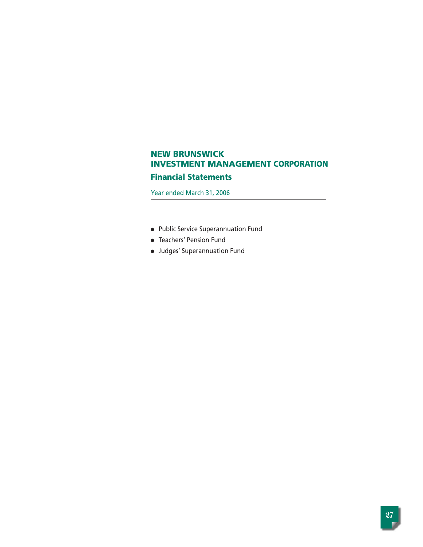## **Financial Statements**

Year ended March 31, 2006

- Public Service Superannuation Fund
- Teachers' Pension Fund
- Judges' Superannuation Fund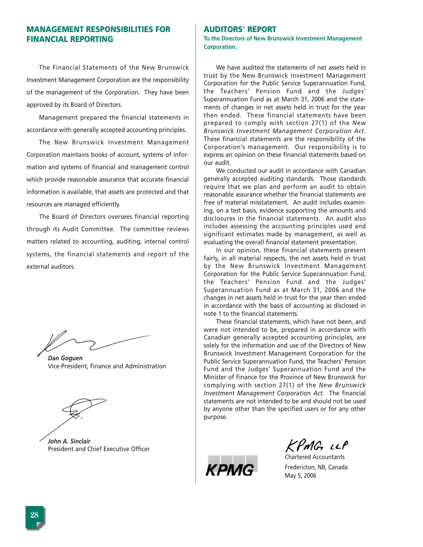# **MANAGEMENT RESPONSIBILITIES FOR FINANCIAL REPORTING**

The Financial Statements of the New Brunswick Investment Management Corporation are the responsibility of the management of the Corporation. They have been approved by its Board of Directors.

Management prepared the financial statements in accordance with generally accepted accounting principles.

The New Brunswick Investment Management Corporation maintains books of account, systems of information and systems of financial and management control which provide reasonable assurance that accurate financial information is available, that assets are protected and that resources are managed efficiently.

The Board of Directors oversees financial reporting through its Audit Committee. The committee reviews matters related to accounting, auditing, internal control systems, the financial statements and report of the external auditors.

*Dan Goguen* Vice-President, Finance and Administration

*John A. Sinclair* President and Chief Executive Officer

### **AUDITORS' REPORT**

**To the Directors of New Brunswick Investment Management Corporation.** 

We have audited the statements of net assets held in trust by the New Brunswick Investment Management Corporation for the Public Service Superannuation Fund, the Teachers' Pension Fund and the Judges' Superannuation Fund as at March 31, 2006 and the statements of changes in net assets held in trust for the year then ended. These financial statements have been prepared to comply with section 27(1) of the *New Brunswick Investment Management Corporation Act*. These financial statements are the responsibility of the Corporation's management. Our responsibility is to express an opinion on these financial statements based on our audit.

We conducted our audit in accordance with Canadian generally accepted auditing standards. Those standards require that we plan and perform an audit to obtain reasonable assurance whether the financial statements are free of material misstatement. An audit includes examining, on a test basis, evidence supporting the amounts and disclosures in the financial statements. An audit also includes assessing the accounting principles used and significant estimates made by management, as well as evaluating the overall financial statement presentation.

In our opinion, these financial statements present fairly, in all material respects, the net assets held in trust by the New Brunswick Investment Management Corporation for the Public Service Superannuation Fund, the Teachers' Pension Fund and the Judges' Superannuation Fund as at March 31, 2006 and the changes in net assets held in trust for the year then ended in accordance with the basis of accounting as disclosed in note 1 to the financial statements.

These financial statements, which have not been, and were not intended to be, prepared in accordance with Canadian generally accepted accounting principles, are solely for the information and use of the Directors of New Brunswick Investment Management Corporation for the Public Service Superannuation Fund, the Teachers' Pension Fund and the Judges' Superannuation Fund and the Minister of Finance for the Province of New Brunswick for complying with section 27(1) of the *New Brunswick Investment Management Corporation Act*. The financial statements are not intended to be and should not be used by anyone other than the specified users or for any other purpose.



 $KPmG$   $LP$ 

Chartered Accountants Fredericton, NB, Canada May 5, 2006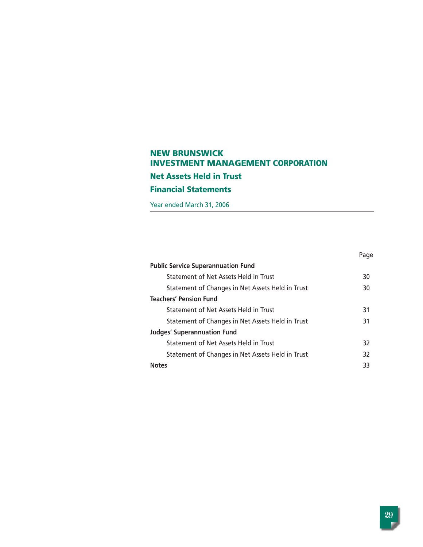# **NEW BRUNSWICK INVESTMENT MANAGEMENT CORPORATION Net Assets Held in Trust Financial Statements**

Year ended March 31, 2006

|                                                  | Page |
|--------------------------------------------------|------|
| <b>Public Service Superannuation Fund</b>        |      |
| Statement of Net Assets Held in Trust            | 30   |
| Statement of Changes in Net Assets Held in Trust | 30   |
| <b>Teachers' Pension Fund</b>                    |      |
| Statement of Net Assets Held in Trust            | 31   |
| Statement of Changes in Net Assets Held in Trust | 31   |
| <b>Judges' Superannuation Fund</b>               |      |
| Statement of Net Assets Held in Trust            | 32   |
| Statement of Changes in Net Assets Held in Trust | 32   |
| <b>Notes</b>                                     | 33   |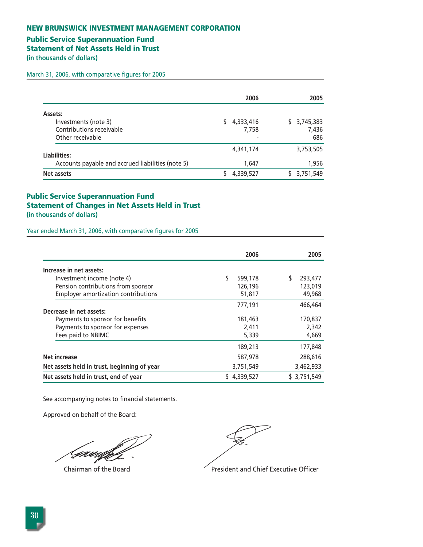# **Public Service Superannuation Fund**

**Statement of Net Assets Held in Trust** 

**(in thousands of dollars)** 

March 31, 2006, with comparative figures for 2005

|                                                                                 | 2006                    | 2005                            |
|---------------------------------------------------------------------------------|-------------------------|---------------------------------|
| Assets:<br>Investments (note 3)<br>Contributions receivable<br>Other receivable | 4,333,416<br>7,758<br>- | 3,745,383<br>S.<br>7,436<br>686 |
| Liabilities:                                                                    | 4,341,174               | 3,753,505                       |
| Accounts payable and accrued liabilities (note 5)<br>Net assets                 | 1,647<br>4,339,527      | 1,956<br>3,751,549              |

# **Public Service Superannuation Fund Statement of Changes in Net Assets Held in Trust (in thousands of dollars)**

Year ended March 31, 2006, with comparative figures for 2005

|                                             | 2006      | 2005        |
|---------------------------------------------|-----------|-------------|
| Increase in net assets:                     |           |             |
| Investment income (note 4)                  | 599,178   | 293,477     |
| Pension contributions from sponsor          | 126,196   | 123,019     |
| Employer amortization contributions         | 51,817    | 49,968      |
|                                             | 777,191   | 466,464     |
| Decrease in net assets:                     |           |             |
| Payments to sponsor for benefits            | 181,463   | 170,837     |
| Payments to sponsor for expenses            | 2,411     | 2,342       |
| Fees paid to NBIMC                          | 5,339     | 4,669       |
|                                             | 189,213   | 177,848     |
| <b>Net increase</b>                         | 587,978   | 288,616     |
| Net assets held in trust, beginning of year | 3,751,549 | 3,462,933   |
| Net assets held in trust, end of year       | 4,339,527 | \$3,751,549 |

See accompanying notes to financial statements.

Approved on behalf of the Board:

Gaw,

Chairman of the Board **President and Chief Executive Officer**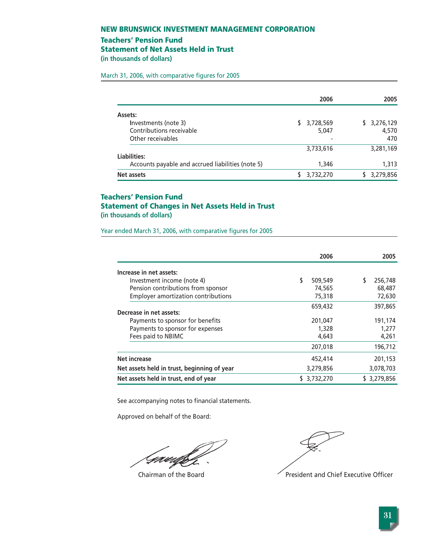### **Teachers' Pension Fund**

**Statement of Net Assets Held in Trust** 

**(in thousands of dollars)** 

March 31, 2006, with comparative figures for 2005

|                                                   | 2006            | 2005        |
|---------------------------------------------------|-----------------|-------------|
| Assets:                                           |                 |             |
| Investments (note 3)                              | 3,728,569<br>S. | \$3,276,129 |
| Contributions receivable                          | 5,047           | 4,570       |
| Other receivables                                 | -               | 470         |
|                                                   | 3,733,616       | 3,281,169   |
| Liabilities:                                      |                 |             |
| Accounts payable and accrued liabilities (note 5) | 1,346           | 1,313       |
| Net assets                                        | 3,732,270       | 3,279,856   |

# **Teachers' Pension Fund Statement of Changes in Net Assets Held in Trust (in thousands of dollars)**

Year ended March 31, 2006, with comparative figures for 2005

|                                             | 2006          | 2005        |
|---------------------------------------------|---------------|-------------|
| Increase in net assets:                     |               |             |
| Investment income (note 4)                  | \$<br>509,549 | 256,748     |
| Pension contributions from sponsor          | 74,565        | 68,487      |
| <b>Employer amortization contributions</b>  | 75,318        | 72,630      |
|                                             | 659,432       | 397,865     |
| Decrease in net assets:                     |               |             |
| Payments to sponsor for benefits            | 201,047       | 191,174     |
| Payments to sponsor for expenses            | 1,328         | 1,277       |
| Fees paid to NBIMC                          | 4,643         | 4,261       |
|                                             | 207,018       | 196,712     |
| <b>Net increase</b>                         | 452,414       | 201,153     |
| Net assets held in trust, beginning of year | 3,279,856     | 3,078,703   |
| Net assets held in trust, end of year       | \$ 3,732,270  | \$3,279,856 |

See accompanying notes to financial statements.

Approved on behalf of the Board:

Gaudhf

Chairman of the Board **President and Chief Executive Officer**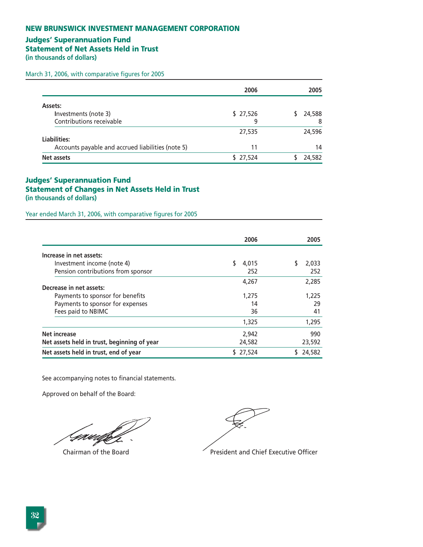# **Judges' Superannuation Fund**

**Statement of Net Assets Held in Trust** 

**(in thousands of dollars)** 

March 31, 2006, with comparative figures for 2005

|                                                   | 2006     | 2005   |
|---------------------------------------------------|----------|--------|
| Assets:                                           |          |        |
| Investments (note 3)                              | \$27,526 | 24,588 |
| Contributions receivable                          | 9        | 8      |
|                                                   | 27,535   | 24,596 |
| Liabilities:                                      |          |        |
| Accounts payable and accrued liabilities (note 5) | 11       | 14     |
| Net assets                                        | \$27,524 | 24,582 |

## **Judges' Superannuation Fund Statement of Changes in Net Assets Held in Trust (in thousands of dollars)**

Year ended March 31, 2006, with comparative figures for 2005

|                                             | 2006     | 2005   |
|---------------------------------------------|----------|--------|
| Increase in net assets:                     |          |        |
| Investment income (note 4)                  | 4.015    | 2,033  |
| Pension contributions from sponsor          | 252      | 252    |
|                                             | 4,267    | 2,285  |
| Decrease in net assets:                     |          |        |
| Payments to sponsor for benefits            | 1,275    | 1,225  |
| Payments to sponsor for expenses            | 14       | 29     |
| Fees paid to NBIMC                          | 36       | 41     |
|                                             | 1,325    | 1,295  |
| <b>Net increase</b>                         | 2.942    | 990    |
| Net assets held in trust, beginning of year | 24,582   | 23,592 |
| Net assets held in trust, end of year       | \$27,524 | 24,582 |

See accompanying notes to financial statements.

Approved on behalf of the Board:

Gawi

Chairman of the Board **President and Chief Executive Officer**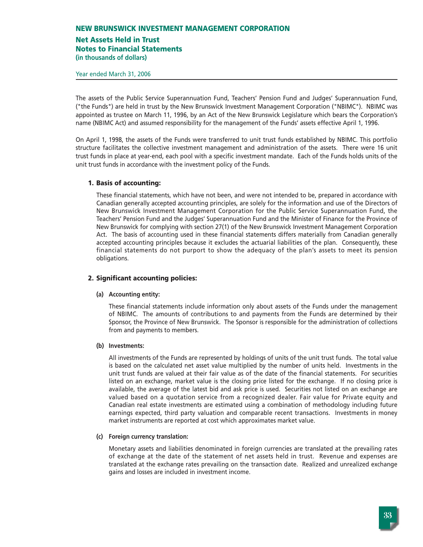# **Net Assets Held in Trust**

**Notes to Financial Statements**

**(in thousands of dollars)**

Year ended March 31, 2006

The assets of the Public Service Superannuation Fund, Teachers' Pension Fund and Judges' Superannuation Fund, ("the Funds") are held in trust by the New Brunswick Investment Management Corporation ("NBIMC"). NBIMC was appointed as trustee on March 11, 1996, by an Act of the New Brunswick Legislature which bears the Corporation's name (NBIMC Act) and assumed responsibility for the management of the Funds' assets effective April 1, 1996.

On April 1, 1998, the assets of the Funds were transferred to unit trust funds established by NBIMC. This portfolio structure facilitates the collective investment management and administration of the assets. There were 16 unit trust funds in place at year-end, each pool with a specific investment mandate. Each of the Funds holds units of the unit trust funds in accordance with the investment policy of the Funds.

### **1. Basis of accounting:**

These financial statements, which have not been, and were not intended to be, prepared in accordance with Canadian generally accepted accounting principles, are solely for the information and use of the Directors of New Brunswick Investment Management Corporation for the Public Service Superannuation Fund, the Teachers' Pension Fund and the Judges' Superannuation Fund and the Minister of Finance for the Province of New Brunswick for complying with section 27(1) of the New Brunswick Investment Management Corporation Act. The basis of accounting used in these financial statements differs materially from Canadian generally accepted accounting principles because it excludes the actuarial liabilities of the plan. Consequently, these financial statements do not purport to show the adequacy of the plan's assets to meet its pension obligations.

## **2. Significant accounting policies:**

### **(a) Accounting entity:**

These financial statements include information only about assets of the Funds under the management of NBIMC. The amounts of contributions to and payments from the Funds are determined by their Sponsor, the Province of New Brunswick. The Sponsor is responsible for the administration of collections from and payments to members.

### **(b) Investments:**

All investments of the Funds are represented by holdings of units of the unit trust funds. The total value is based on the calculated net asset value multiplied by the number of units held. Investments in the unit trust funds are valued at their fair value as of the date of the financial statements. For securities listed on an exchange, market value is the closing price listed for the exchange. If no closing price is available, the average of the latest bid and ask price is used. Securities not listed on an exchange are valued based on a quotation service from a recognized dealer. Fair value for Private equity and Canadian real estate investments are estimated using a combination of methodology including future earnings expected, third party valuation and comparable recent transactions. Investments in money market instruments are reported at cost which approximates market value.

### **(c) Foreign currency translation:**

Monetary assets and liabilities denominated in foreign currencies are translated at the prevailing rates of exchange at the date of the statement of net assets held in trust. Revenue and expenses are translated at the exchange rates prevailing on the transaction date. Realized and unrealized exchange gains and losses are included in investment income.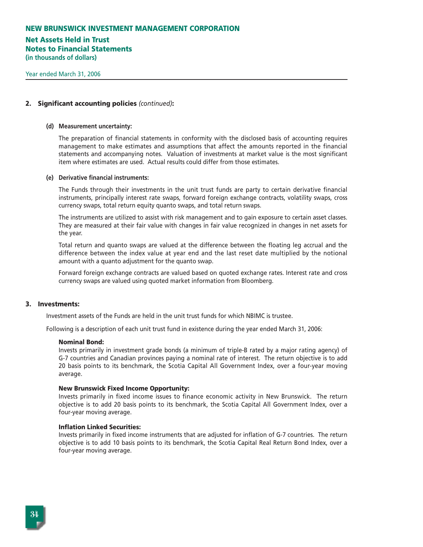# **Net Assets Held in Trust Notes to Financial Statements**

**(in thousands of dollars)**

### **2. Significant accounting policies** *(continued)***:**

#### **(d) Measurement uncertainty:**

The preparation of financial statements in conformity with the disclosed basis of accounting requires management to make estimates and assumptions that affect the amounts reported in the financial statements and accompanying notes. Valuation of investments at market value is the most significant item where estimates are used. Actual results could differ from those estimates.

#### **(e) Derivative financial instruments:**

The Funds through their investments in the unit trust funds are party to certain derivative financial instruments, principally interest rate swaps, forward foreign exchange contracts, volatility swaps, cross currency swaps, total return equity quanto swaps, and total return swaps.

The instruments are utilized to assist with risk management and to gain exposure to certain asset classes. They are measured at their fair value with changes in fair value recognized in changes in net assets for the year.

Total return and quanto swaps are valued at the difference between the floating leg accrual and the difference between the index value at year end and the last reset date multiplied by the notional amount with a quanto adjustment for the quanto swap.

Forward foreign exchange contracts are valued based on quoted exchange rates. Interest rate and cross currency swaps are valued using quoted market information from Bloomberg.

#### **3. Investments:**

Investment assets of the Funds are held in the unit trust funds for which NBIMC is trustee.

Following is a description of each unit trust fund in existence during the year ended March 31, 2006:

#### **Nominal Bond:**

Invests primarily in investment grade bonds (a minimum of triple-B rated by a major rating agency) of G-7 countries and Canadian provinces paying a nominal rate of interest. The return objective is to add 20 basis points to its benchmark, the Scotia Capital All Government Index, over a four-year moving average.

#### **New Brunswick Fixed Income Opportunity:**

Invests primarily in fixed income issues to finance economic activity in New Brunswick. The return objective is to add 20 basis points to its benchmark, the Scotia Capital All Government Index, over a four-year moving average.

#### **Inflation Linked Securities:**

Invests primarily in fixed income instruments that are adjusted for inflation of G-7 countries. The return objective is to add 10 basis points to its benchmark, the Scotia Capital Real Return Bond Index, over a four-year moving average.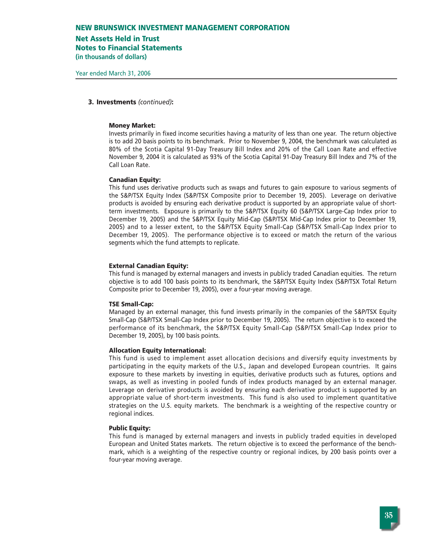### **Net Assets Held in Trust**

**Notes to Financial Statements**

**(in thousands of dollars)**

#### **3. Investments** *(continued)***:**

#### **Money Market:**

Invests primarily in fixed income securities having a maturity of less than one year. The return objective is to add 20 basis points to its benchmark. Prior to November 9, 2004, the benchmark was calculated as 80% of the Scotia Capital 91-Day Treasury Bill Index and 20% of the Call Loan Rate and effective November 9, 2004 it is calculated as 93% of the Scotia Capital 91-Day Treasury Bill Index and 7% of the Call Loan Rate.

#### **Canadian Equity:**

This fund uses derivative products such as swaps and futures to gain exposure to various segments of the S&P/TSX Equity Index (S&P/TSX Composite prior to December 19, 2005). Leverage on derivative products is avoided by ensuring each derivative product is supported by an appropriate value of shortterm investments. Exposure is primarily to the S&P/TSX Equity 60 (S&P/TSX Large-Cap Index prior to December 19, 2005) and the S&P/TSX Equity Mid-Cap (S&P/TSX Mid-Cap Index prior to December 19, 2005) and to a lesser extent, to the S&P/TSX Equity Small-Cap (S&P/TSX Small-Cap Index prior to December 19, 2005). The performance objective is to exceed or match the return of the various segments which the fund attempts to replicate.

#### **External Canadian Equity:**

This fund is managed by external managers and invests in publicly traded Canadian equities. The return objective is to add 100 basis points to its benchmark, the S&P/TSX Equity Index (S&P/TSX Total Return Composite prior to December 19, 2005), over a four-year moving average.

### **TSE Small-Cap:**

Managed by an external manager, this fund invests primarily in the companies of the S&P/TSX Equity Small-Cap (S&P/TSX Small-Cap Index prior to December 19, 2005). The return objective is to exceed the performance of its benchmark, the S&P/TSX Equity Small-Cap (S&P/TSX Small-Cap Index prior to December 19, 2005), by 100 basis points.

#### **Allocation Equity International:**

This fund is used to implement asset allocation decisions and diversify equity investments by participating in the equity markets of the U.S., Japan and developed European countries. It gains exposure to these markets by investing in equities, derivative products such as futures, options and swaps, as well as investing in pooled funds of index products managed by an external manager. Leverage on derivative products is avoided by ensuring each derivative product is supported by an appropriate value of short-term investments. This fund is also used to implement quantitative strategies on the U.S. equity markets. The benchmark is a weighting of the respective country or regional indices.

#### **Public Equity:**

This fund is managed by external managers and invests in publicly traded equities in developed European and United States markets. The return objective is to exceed the performance of the benchmark, which is a weighting of the respective country or regional indices, by 200 basis points over a four-year moving average.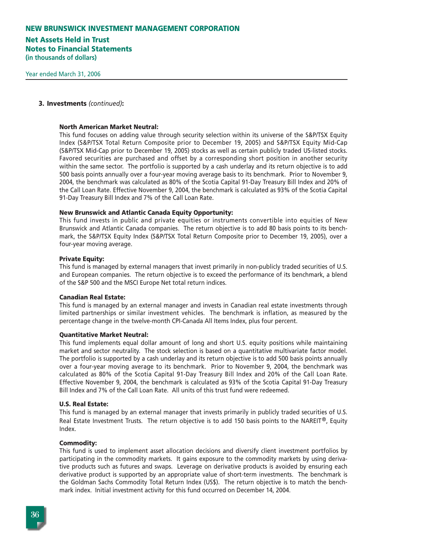# **Net Assets Held in Trust Notes to Financial Statements**

**(in thousands of dollars)**

#### **3. Investments** *(continued)***:**

#### **North American Market Neutral:**

This fund focuses on adding value through security selection within its universe of the S&P/TSX Equity Index (S&P/TSX Total Return Composite prior to December 19, 2005) and S&P/TSX Equity Mid-Cap (S&P/TSX Mid-Cap prior to December 19, 2005) stocks as well as certain publicly traded US-listed stocks. Favored securities are purchased and offset by a corresponding short position in another security within the same sector. The portfolio is supported by a cash underlay and its return objective is to add 500 basis points annually over a four-year moving average basis to its benchmark. Prior to November 9, 2004, the benchmark was calculated as 80% of the Scotia Capital 91-Day Treasury Bill Index and 20% of the Call Loan Rate. Effective November 9, 2004, the benchmark is calculated as 93% of the Scotia Capital 91-Day Treasury Bill Index and 7% of the Call Loan Rate.

#### **New Brunswick and Atlantic Canada Equity Opportunity:**

This fund invests in public and private equities or instruments convertible into equities of New Brunswick and Atlantic Canada companies. The return objective is to add 80 basis points to its benchmark, the S&P/TSX Equity Index (S&P/TSX Total Return Composite prior to December 19, 2005), over a four-year moving average.

#### **Private Equity:**

This fund is managed by external managers that invest primarily in non-publicly traded securities of U.S. and European companies. The return objective is to exceed the performance of its benchmark, a blend of the S&P 500 and the MSCI Europe Net total return indices.

#### **Canadian Real Estate:**

This fund is managed by an external manager and invests in Canadian real estate investments through limited partnerships or similar investment vehicles. The benchmark is inflation, as measured by the percentage change in the twelve-month CPI-Canada All Items Index, plus four percent.

### **Quantitative Market Neutral:**

This fund implements equal dollar amount of long and short U.S. equity positions while maintaining market and sector neutrality. The stock selection is based on a quantitative multivariate factor model. The portfolio is supported by a cash underlay and its return objective is to add 500 basis points annually over a four-year moving average to its benchmark. Prior to November 9, 2004, the benchmark was calculated as 80% of the Scotia Capital 91-Day Treasury Bill Index and 20% of the Call Loan Rate. Effective November 9, 2004, the benchmark is calculated as 93% of the Scotia Capital 91-Day Treasury Bill Index and 7% of the Call Loan Rate. All units of this trust fund were redeemed.

#### **U.S. Real Estate:**

This fund is managed by an external manager that invests primarily in publicly traded securities of U.S. Real Estate Investment Trusts. The return objective is to add 150 basis points to the NAREIT®, Equity Index.

### **Commodity:**

This fund is used to implement asset allocation decisions and diversify client investment portfolios by participating in the commodity markets. It gains exposure to the commodity markets by using derivative products such as futures and swaps. Leverage on derivative products is avoided by ensuring each derivative product is supported by an appropriate value of short-term investments. The benchmark is the Goldman Sachs Commodity Total Return Index (US\$). The return objective is to match the benchmark index. Initial investment activity for this fund occurred on December 14, 2004.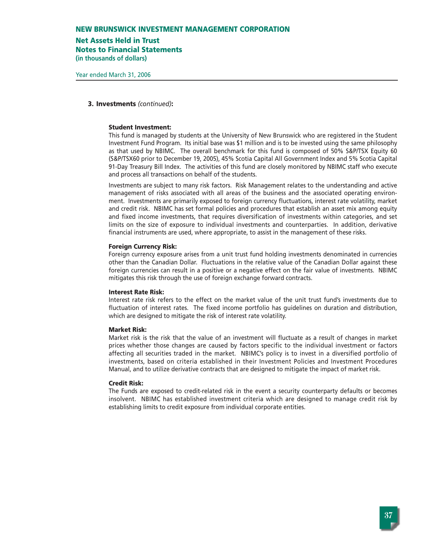# **Net Assets Held in Trust**

**Notes to Financial Statements**

### **3. Investments** *(continued)***:**

#### **Student Investment:**

This fund is managed by students at the University of New Brunswick who are registered in the Student Investment Fund Program. Its initial base was \$1 million and is to be invested using the same philosophy as that used by NBIMC. The overall benchmark for this fund is composed of 50% S&P/TSX Equity 60 (S&P/TSX60 prior to December 19, 2005), 45% Scotia Capital All Government Index and 5% Scotia Capital 91-Day Treasury Bill Index. The activities of this fund are closely monitored by NBIMC staff who execute and process all transactions on behalf of the students.

Investments are subject to many risk factors. Risk Management relates to the understanding and active management of risks associated with all areas of the business and the associated operating environment. Investments are primarily exposed to foreign currency fluctuations, interest rate volatility, market and credit risk. NBIMC has set formal policies and procedures that establish an asset mix among equity and fixed income investments, that requires diversification of investments within categories, and set limits on the size of exposure to individual investments and counterparties. In addition, derivative financial instruments are used, where appropriate, to assist in the management of these risks.

#### **Foreign Currency Risk:**

Foreign currency exposure arises from a unit trust fund holding investments denominated in currencies other than the Canadian Dollar. Fluctuations in the relative value of the Canadian Dollar against these foreign currencies can result in a positive or a negative effect on the fair value of investments. NBIMC mitigates this risk through the use of foreign exchange forward contracts.

#### **Interest Rate Risk:**

Interest rate risk refers to the effect on the market value of the unit trust fund's investments due to fluctuation of interest rates. The fixed income portfolio has guidelines on duration and distribution, which are designed to mitigate the risk of interest rate volatility.

### **Market Risk:**

Market risk is the risk that the value of an investment will fluctuate as a result of changes in market prices whether those changes are caused by factors specific to the individual investment or factors affecting all securities traded in the market. NBIMC's policy is to invest in a diversified portfolio of investments, based on criteria established in their Investment Policies and Investment Procedures Manual, and to utilize derivative contracts that are designed to mitigate the impact of market risk.

#### **Credit Risk:**

The Funds are exposed to credit-related risk in the event a security counterparty defaults or becomes insolvent. NBIMC has established investment criteria which are designed to manage credit risk by establishing limits to credit exposure from individual corporate entities.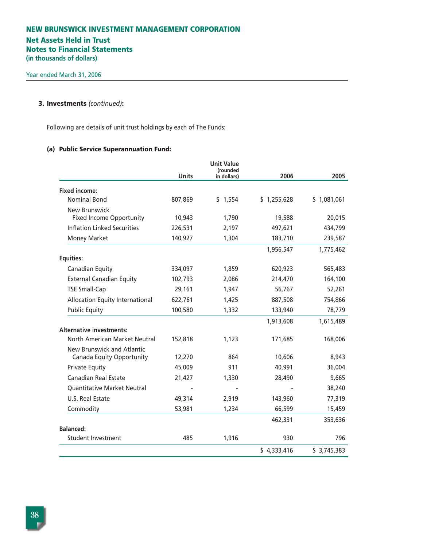# **Net Assets Held in Trust Notes to Financial Statements**

**(in thousands of dollars)**

## **3. Investments** *(continued)***:**

Following are details of unit trust holdings by each of The Funds:

# **(a) Public Service Superannuation Fund:**

|                                    |              | <b>Unit Value</b><br>(rounded |             |             |
|------------------------------------|--------------|-------------------------------|-------------|-------------|
|                                    | <b>Units</b> | in dollars)                   | 2006        | 2005        |
| <b>Fixed income:</b>               |              |                               |             |             |
| <b>Nominal Bond</b>                | 807,869      | \$1,554                       | \$1,255,628 | \$1,081,061 |
| New Brunswick                      |              |                               |             |             |
| <b>Fixed Income Opportunity</b>    | 10,943       | 1,790                         | 19,588      | 20,015      |
| <b>Inflation Linked Securities</b> | 226,531      | 2,197                         | 497,621     | 434,799     |
| Money Market                       | 140,927      | 1,304                         | 183,710     | 239,587     |
|                                    |              |                               | 1,956,547   | 1,775,462   |
| <b>Equities:</b>                   |              |                               |             |             |
| Canadian Equity                    | 334,097      | 1,859                         | 620,923     | 565,483     |
| <b>External Canadian Equity</b>    | 102,793      | 2,086                         | 214,470     | 164,100     |
| <b>TSE Small-Cap</b>               | 29,161       | 1,947                         | 56,767      | 52,261      |
| Allocation Equity International    | 622,761      | 1,425                         | 887,508     | 754,866     |
| <b>Public Equity</b>               | 100,580      | 1,332                         | 133,940     | 78,779      |
|                                    |              |                               | 1,913,608   | 1,615,489   |
| <b>Alternative investments:</b>    |              |                               |             |             |
| North American Market Neutral      | 152,818      | 1,123                         | 171,685     | 168,006     |
| New Brunswick and Atlantic         |              |                               |             |             |
| Canada Equity Opportunity          | 12,270       | 864                           | 10,606      | 8,943       |
| <b>Private Equity</b>              | 45,009       | 911                           | 40,991      | 36,004      |
| <b>Canadian Real Estate</b>        | 21,427       | 1,330                         | 28,490      | 9,665       |
| <b>Quantitative Market Neutral</b> |              |                               |             | 38,240      |
| U.S. Real Estate                   | 49,314       | 2,919                         | 143,960     | 77,319      |
| Commodity                          | 53,981       | 1,234                         | 66,599      | 15,459      |
|                                    |              |                               | 462,331     | 353,636     |
| <b>Balanced:</b>                   |              |                               |             |             |
| Student Investment                 | 485          | 1,916                         | 930         | 796         |
|                                    |              |                               | \$4,333,416 | \$3,745,383 |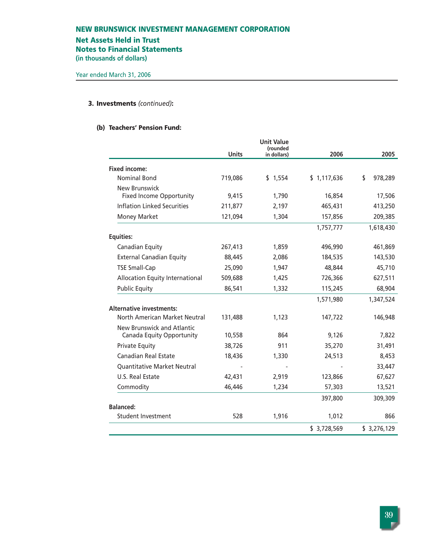## **Net Assets Held in Trust**

**Notes to Financial Statements**

**(in thousands of dollars)**

### **3. Investments** *(continued)***:**

### **(b) Teachers' Pension Fund:**

|                                                         | <b>Units</b> | <b>Unit Value</b><br>(rounded<br>in dollars) | 2006        | 2005          |
|---------------------------------------------------------|--------------|----------------------------------------------|-------------|---------------|
| <b>Fixed income:</b>                                    |              |                                              |             |               |
| <b>Nominal Bond</b>                                     | 719,086      | \$1,554                                      | \$1,117,636 | \$<br>978,289 |
| New Brunswick                                           |              |                                              |             |               |
| <b>Fixed Income Opportunity</b>                         | 9,415        | 1,790                                        | 16,854      | 17,506        |
| <b>Inflation Linked Securities</b>                      | 211,877      | 2,197                                        | 465,431     | 413,250       |
| <b>Money Market</b>                                     | 121,094      | 1,304                                        | 157,856     | 209,385       |
|                                                         |              |                                              | 1,757,777   | 1,618,430     |
| <b>Equities:</b>                                        |              |                                              |             |               |
| Canadian Equity                                         | 267,413      | 1,859                                        | 496,990     | 461,869       |
| <b>External Canadian Equity</b>                         | 88,445       | 2,086                                        | 184,535     | 143,530       |
| <b>TSE Small-Cap</b>                                    | 25,090       | 1,947                                        | 48,844      | 45,710        |
| Allocation Equity International                         | 509,688      | 1,425                                        | 726,366     | 627,511       |
| <b>Public Equity</b>                                    | 86,541       | 1,332                                        | 115,245     | 68,904        |
|                                                         |              |                                              | 1,571,980   | 1,347,524     |
| <b>Alternative investments:</b>                         |              |                                              |             |               |
| North American Market Neutral                           | 131,488      | 1,123                                        | 147,722     | 146,948       |
| New Brunswick and Atlantic<br>Canada Equity Opportunity | 10,558       | 864                                          | 9,126       | 7,822         |
| <b>Private Equity</b>                                   | 38,726       | 911                                          | 35,270      | 31,491        |
| <b>Canadian Real Estate</b>                             | 18,436       | 1,330                                        | 24,513      | 8,453         |
| Quantitative Market Neutral                             |              |                                              |             | 33,447        |
| U.S. Real Estate                                        | 42,431       | 2,919                                        | 123,866     | 67,627        |
| Commodity                                               | 46,446       | 1,234                                        | 57,303      | 13,521        |
|                                                         |              |                                              | 397,800     | 309,309       |
| <b>Balanced:</b>                                        |              |                                              |             |               |
| <b>Student Investment</b>                               | 528          | 1,916                                        | 1,012       | 866           |
|                                                         |              |                                              | \$3,728,569 | \$3,276,129   |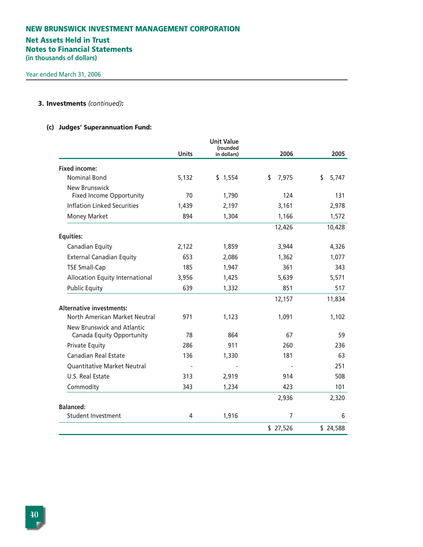# **NEW BRUNSWICK INVESTMENT MANAGEMENT CORPORATION Net Assets Held in Trust Notes to Financial Statements (in thousands of dollars)**

# **3. Investments** *(continued)***:**

# **(c) Judges' Superannuation Fund:**

|                                                         |              | <b>Unit Value</b><br>(rounded |             |             |
|---------------------------------------------------------|--------------|-------------------------------|-------------|-------------|
|                                                         | <b>Units</b> | in dollars)                   | 2006        | 2005        |
| <b>Fixed income:</b>                                    |              |                               |             |             |
| <b>Nominal Bond</b>                                     | 5,132        | \$1,554                       | \$<br>7,975 | \$<br>5,747 |
| <b>New Brunswick</b><br><b>Fixed Income Opportunity</b> | 70           | 1,790                         | 124         | 131         |
| <b>Inflation Linked Securities</b>                      | 1,439        | 2,197                         | 3,161       | 2,978       |
| <b>Money Market</b>                                     | 894          | 1,304                         | 1,166       | 1,572       |
|                                                         |              |                               | 12,426      | 10,428      |
| <b>Equities:</b>                                        |              |                               |             |             |
| Canadian Equity                                         | 2,122        | 1,859                         | 3,944       | 4,326       |
| <b>External Canadian Equity</b>                         | 653          | 2,086                         | 1,362       | 1,077       |
| <b>TSE Small-Cap</b>                                    | 185          | 1,947                         | 361         | 343         |
| <b>Allocation Equity International</b>                  | 3,956        | 1,425                         | 5,639       | 5,571       |
| <b>Public Equity</b>                                    | 639          | 1,332                         | 851         | 517         |
|                                                         |              |                               | 12,157      | 11,834      |
| <b>Alternative investments:</b>                         |              |                               |             |             |
| North American Market Neutral                           | 971          | 1,123                         | 1,091       | 1,102       |
| New Brunswick and Atlantic<br>Canada Equity Opportunity | 78           | 864                           | 67          | 59          |
| <b>Private Equity</b>                                   | 286          | 911                           | 260         | 236         |
| <b>Canadian Real Estate</b>                             | 136          | 1,330                         | 181         | 63          |
| Quantitative Market Neutral                             |              |                               |             | 251         |
| U.S. Real Estate                                        | 313          | 2,919                         | 914         | 508         |
| Commodity                                               | 343          | 1,234                         | 423         | 101         |
|                                                         |              |                               | 2,936       | 2,320       |
| <b>Balanced:</b>                                        |              |                               |             |             |
| <b>Student Investment</b>                               | 4            | 1,916                         | 7           | 6           |
|                                                         |              |                               | \$27,526    | \$24,588    |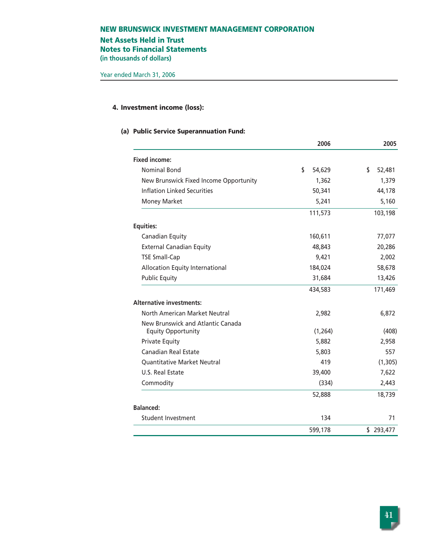# **Net Assets Held in Trust Notes to Financial Statements**

**(in thousands of dollars)**

# **4. Investment income (loss):**

### **(a) Public Service Superannuation Fund:**

|                                                                | 2006         | 2005         |
|----------------------------------------------------------------|--------------|--------------|
| <b>Fixed income:</b>                                           |              |              |
| Nominal Bond                                                   | \$<br>54,629 | \$<br>52,481 |
| New Brunswick Fixed Income Opportunity                         | 1,362        | 1,379        |
| <b>Inflation Linked Securities</b>                             | 50,341       | 44,178       |
| Money Market                                                   | 5,241        | 5,160        |
|                                                                | 111,573      | 103,198      |
| <b>Equities:</b>                                               |              |              |
| Canadian Equity                                                | 160,611      | 77,077       |
| <b>External Canadian Equity</b>                                | 48,843       | 20,286       |
| <b>TSE Small-Cap</b>                                           | 9,421        | 2,002        |
| Allocation Equity International                                | 184,024      | 58,678       |
| <b>Public Equity</b>                                           | 31,684       | 13,426       |
|                                                                | 434,583      | 171,469      |
| <b>Alternative investments:</b>                                |              |              |
| North American Market Neutral                                  | 2,982        | 6,872        |
| New Brunswick and Atlantic Canada<br><b>Equity Opportunity</b> | (1, 264)     | (408)        |
| <b>Private Equity</b>                                          | 5,882        | 2,958        |
| <b>Canadian Real Estate</b>                                    | 5,803        | 557          |
| <b>Quantitative Market Neutral</b>                             | 419          | (1, 305)     |
| U.S. Real Estate                                               | 39,400       | 7,622        |
| Commodity                                                      | (334)        | 2,443        |
|                                                                | 52,888       | 18,739       |
| <b>Balanced:</b>                                               |              |              |
| <b>Student Investment</b>                                      | 134          | 71           |
|                                                                | 599,178      | \$293,477    |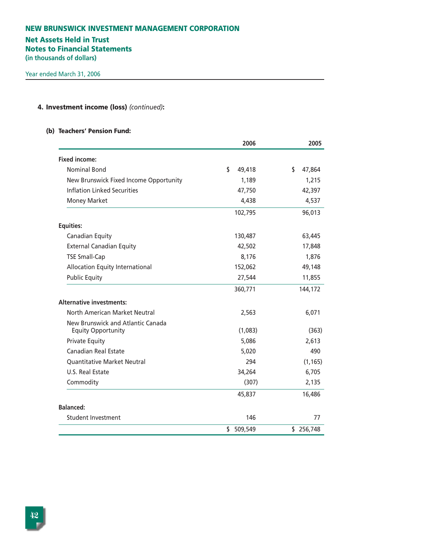# **Net Assets Held in Trust**

**Notes to Financial Statements**

**(in thousands of dollars)**

# **4. Investment income (loss)** *(continued)***:**

### **(b) Teachers' Pension Fund:**

|                                                                | 2006          | 2005         |
|----------------------------------------------------------------|---------------|--------------|
| <b>Fixed income:</b>                                           |               |              |
| Nominal Bond                                                   | \$<br>49,418  | \$<br>47,864 |
| New Brunswick Fixed Income Opportunity                         | 1,189         | 1,215        |
| <b>Inflation Linked Securities</b>                             | 47,750        | 42,397       |
| <b>Money Market</b>                                            | 4,438         | 4,537        |
|                                                                | 102,795       | 96,013       |
| <b>Equities:</b>                                               |               |              |
| Canadian Equity                                                | 130,487       | 63,445       |
| <b>External Canadian Equity</b>                                | 42,502        | 17,848       |
| <b>TSE Small-Cap</b>                                           | 8,176         | 1,876        |
| Allocation Equity International                                | 152,062       | 49,148       |
| <b>Public Equity</b>                                           | 27,544        | 11,855       |
|                                                                | 360,771       | 144,172      |
| <b>Alternative investments:</b>                                |               |              |
| North American Market Neutral                                  | 2,563         | 6,071        |
| New Brunswick and Atlantic Canada<br><b>Equity Opportunity</b> | (1,083)       | (363)        |
| <b>Private Equity</b>                                          | 5,086         | 2.613        |
| Canadian Real Estate                                           | 5,020         | 490          |
| <b>Quantitative Market Neutral</b>                             | 294           | (1, 165)     |
| U.S. Real Estate                                               | 34,264        | 6,705        |
| Commodity                                                      | (307)         | 2,135        |
|                                                                | 45,837        | 16,486       |
| <b>Balanced:</b>                                               |               |              |
| <b>Student Investment</b>                                      | 146           | 77           |
|                                                                | \$<br>509,549 | \$256,748    |